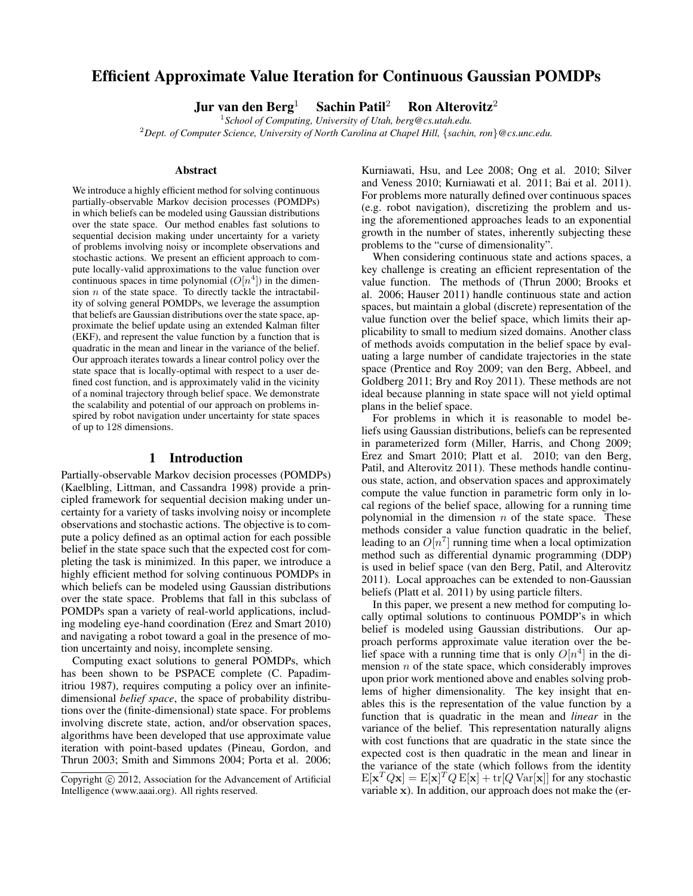# Efficient Approximate Value Iteration for Continuous Gaussian POMDPs

Jur van den Berg<sup>1</sup> Sachin Patil<sup>2</sup> Ron Alterovitz<sup>2</sup>

1 *School of Computing, University of Utah, berg@cs.utah.edu.* <sup>2</sup>*Dept. of Computer Science, University of North Carolina at Chapel Hill,* {*sachin, ron*}*@cs.unc.edu.*

#### **Abstract**

We introduce a highly efficient method for solving continuous partially-observable Markov decision processes (POMDPs) in which beliefs can be modeled using Gaussian distributions over the state space. Our method enables fast solutions to sequential decision making under uncertainty for a variety of problems involving noisy or incomplete observations and stochastic actions. We present an efficient approach to compute locally-valid approximations to the value function over continuous spaces in time polynomial  $(O[n^4])$  in the dimension  $n$  of the state space. To directly tackle the intractability of solving general POMDPs, we leverage the assumption that beliefs are Gaussian distributions over the state space, approximate the belief update using an extended Kalman filter (EKF), and represent the value function by a function that is quadratic in the mean and linear in the variance of the belief. Our approach iterates towards a linear control policy over the state space that is locally-optimal with respect to a user defined cost function, and is approximately valid in the vicinity of a nominal trajectory through belief space. We demonstrate the scalability and potential of our approach on problems inspired by robot navigation under uncertainty for state spaces of up to 128 dimensions.

#### 1 Introduction

Partially-observable Markov decision processes (POMDPs) (Kaelbling, Littman, and Cassandra 1998) provide a principled framework for sequential decision making under uncertainty for a variety of tasks involving noisy or incomplete observations and stochastic actions. The objective is to compute a policy defined as an optimal action for each possible belief in the state space such that the expected cost for completing the task is minimized. In this paper, we introduce a highly efficient method for solving continuous POMDPs in which beliefs can be modeled using Gaussian distributions over the state space. Problems that fall in this subclass of POMDPs span a variety of real-world applications, including modeling eye-hand coordination (Erez and Smart 2010) and navigating a robot toward a goal in the presence of motion uncertainty and noisy, incomplete sensing.

Computing exact solutions to general POMDPs, which has been shown to be PSPACE complete (C. Papadimitriou 1987), requires computing a policy over an infinitedimensional *belief space*, the space of probability distributions over the (finite-dimensional) state space. For problems involving discrete state, action, and/or observation spaces, algorithms have been developed that use approximate value iteration with point-based updates (Pineau, Gordon, and Thrun 2003; Smith and Simmons 2004; Porta et al. 2006;

Kurniawati, Hsu, and Lee 2008; Ong et al. 2010; Silver and Veness 2010; Kurniawati et al. 2011; Bai et al. 2011). For problems more naturally defined over continuous spaces (e.g. robot navigation), discretizing the problem and using the aforementioned approaches leads to an exponential growth in the number of states, inherently subjecting these problems to the "curse of dimensionality".

When considering continuous state and actions spaces, a key challenge is creating an efficient representation of the value function. The methods of (Thrun 2000; Brooks et al. 2006; Hauser 2011) handle continuous state and action spaces, but maintain a global (discrete) representation of the value function over the belief space, which limits their applicability to small to medium sized domains. Another class of methods avoids computation in the belief space by evaluating a large number of candidate trajectories in the state space (Prentice and Roy 2009; van den Berg, Abbeel, and Goldberg 2011; Bry and Roy 2011). These methods are not ideal because planning in state space will not yield optimal plans in the belief space.

For problems in which it is reasonable to model beliefs using Gaussian distributions, beliefs can be represented in parameterized form (Miller, Harris, and Chong 2009; Erez and Smart 2010; Platt et al. 2010; van den Berg, Patil, and Alterovitz 2011). These methods handle continuous state, action, and observation spaces and approximately compute the value function in parametric form only in local regions of the belief space, allowing for a running time polynomial in the dimension  $n$  of the state space. These methods consider a value function quadratic in the belief, leading to an  $O[n^7]$  running time when a local optimization method such as differential dynamic programming (DDP) is used in belief space (van den Berg, Patil, and Alterovitz 2011). Local approaches can be extended to non-Gaussian beliefs (Platt et al. 2011) by using particle filters.

In this paper, we present a new method for computing locally optimal solutions to continuous POMDP's in which belief is modeled using Gaussian distributions. Our approach performs approximate value iteration over the belief space with a running time that is only  $O[n^4]$  in the dimension  $n$  of the state space, which considerably improves upon prior work mentioned above and enables solving problems of higher dimensionality. The key insight that enables this is the representation of the value function by a function that is quadratic in the mean and *linear* in the variance of the belief. This representation naturally aligns with cost functions that are quadratic in the state since the expected cost is then quadratic in the mean and linear in the variance of the state (which follows from the identity  $E[\mathbf{x}^T Q \mathbf{x}] = E[\mathbf{x}]^T Q E[\mathbf{x}] + \text{tr}[Q Var[\mathbf{x}]]$  for any stochastic variable x). In addition, our approach does not make the (er-

Copyright  $\odot$  2012, Association for the Advancement of Artificial Intelligence (www.aaai.org). All rights reserved.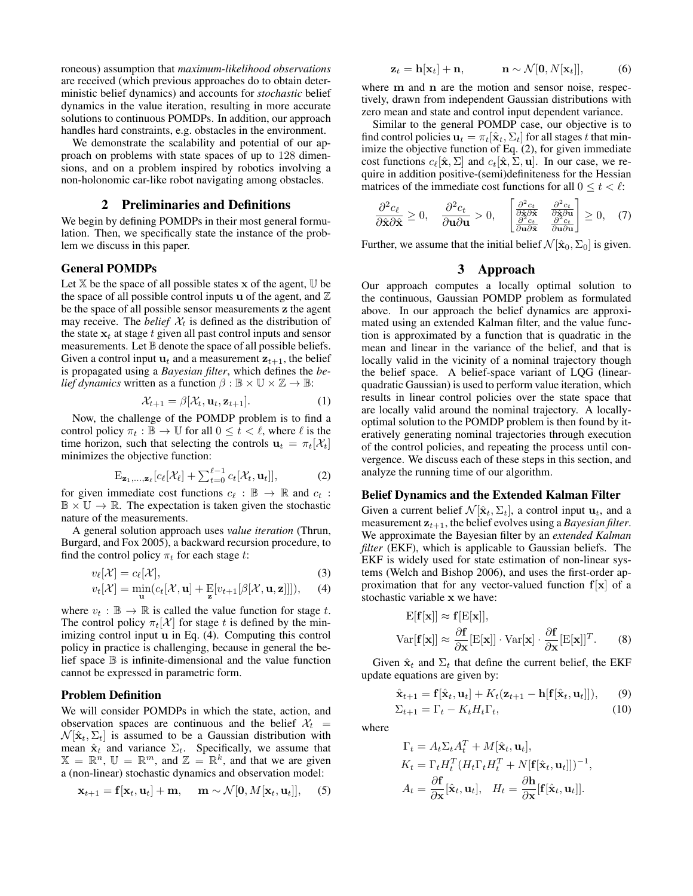roneous) assumption that *maximum-likelihood observations* are received (which previous approaches do to obtain deterministic belief dynamics) and accounts for *stochastic* belief dynamics in the value iteration, resulting in more accurate solutions to continuous POMDPs. In addition, our approach handles hard constraints, e.g. obstacles in the environment.

We demonstrate the scalability and potential of our approach on problems with state spaces of up to 128 dimensions, and on a problem inspired by robotics involving a non-holonomic car-like robot navigating among obstacles.

# 2 Preliminaries and Definitions

We begin by defining POMDPs in their most general formulation. Then, we specifically state the instance of the problem we discuss in this paper.

#### General POMDPs

Let  $X$  be the space of all possible states x of the agent,  $U$  be the space of all possible control inputs u of the agent, and  $\mathbb Z$ be the space of all possible sensor measurements z the agent may receive. The *belief*  $X_t$  is defined as the distribution of the state  $x_t$  at stage t given all past control inputs and sensor measurements. Let  $\mathbb B$  denote the space of all possible beliefs. Given a control input  $\mathbf{u}_t$  and a measurement  $\mathbf{z}_{t+1}$ , the belief is propagated using a *Bayesian filter*, which defines the *belief dynamics* written as a function  $\beta : \mathbb{B} \times \mathbb{U} \times \mathbb{Z} \rightarrow \mathbb{B}$ :

$$
\mathcal{X}_{t+1} = \beta[\mathcal{X}_t, \mathbf{u}_t, \mathbf{z}_{t+1}]. \tag{1}
$$

Now, the challenge of the POMDP problem is to find a control policy  $\pi_t : \mathbb{B} \to \mathbb{U}$  for all  $0 \le t < \ell$ , where  $\ell$  is the time horizon, such that selecting the controls  $\mathbf{u}_t = \pi_t[\mathcal{X}_t]$ minimizes the objective function:

$$
\mathbf{E}_{\mathbf{z}_1,\ldots,\mathbf{z}_\ell}[c_\ell[\mathcal{X}_\ell] + \sum_{t=0}^{\ell-1} c_t[\mathcal{X}_t,\mathbf{u}_t]],\tag{2}
$$

for given immediate cost functions  $c_\ell : \mathbb{B} \to \mathbb{R}$  and  $c_t$  :  $\mathbb{B} \times \mathbb{U} \to \mathbb{R}$ . The expectation is taken given the stochastic nature of the measurements.

A general solution approach uses *value iteration* (Thrun, Burgard, and Fox 2005), a backward recursion procedure, to find the control policy  $\pi_t$  for each stage t:

$$
v_{\ell}[\mathcal{X}] = c_{\ell}[\mathcal{X}],\tag{3}
$$

$$
v_t[\mathcal{X}] = \min_{\mathbf{u}} (c_t[\mathcal{X}, \mathbf{u}] + \mathop{\mathbf{E}}_{\mathbf{z}} [v_{t+1}[\beta[\mathcal{X}, \mathbf{u}, \mathbf{z}]]]), \quad (4)
$$

where  $v_t : \mathbb{B} \to \mathbb{R}$  is called the value function for stage t. The control policy  $\pi_t[\mathcal{X}]$  for stage t is defined by the minimizing control input u in Eq. (4). Computing this control policy in practice is challenging, because in general the belief space  $\mathbb B$  is infinite-dimensional and the value function cannot be expressed in parametric form.

## Problem Definition

We will consider POMDPs in which the state, action, and observation spaces are continuous and the belief  $\mathcal{X}_t$  =  $\mathcal{N}[\hat{\mathbf{x}}_t, \Sigma_t]$  is assumed to be a Gaussian distribution with mean  $\hat{\mathbf{x}}_t$  and variance  $\Sigma_t$ . Specifically, we assume that  $X = \mathbb{R}^n$ ,  $\mathbb{U} = \mathbb{R}^m$ , and  $\mathbb{Z} = \mathbb{R}^k$ , and that we are given a (non-linear) stochastic dynamics and observation model:

$$
\mathbf{x}_{t+1} = \mathbf{f}[\mathbf{x}_t, \mathbf{u}_t] + \mathbf{m}, \quad \mathbf{m} \sim \mathcal{N}[\mathbf{0}, M[\mathbf{x}_t, \mathbf{u}_t]], \quad (5)
$$

$$
\mathbf{z}_t = \mathbf{h}[\mathbf{x}_t] + \mathbf{n}, \qquad \qquad \mathbf{n} \sim \mathcal{N}[\mathbf{0}, N[\mathbf{x}_t]], \qquad \qquad (6)
$$

where m and n are the motion and sensor noise, respectively, drawn from independent Gaussian distributions with zero mean and state and control input dependent variance.

Similar to the general POMDP case, our objective is to find control policies  $\mathbf{u}_t = \pi_t[\hat{\mathbf{x}}_t, \Sigma_t]$  for all stages t that minimize the objective function of Eq. (2), for given immediate cost functions  $c_{\ell}[\hat{\mathbf{x}}, \Sigma]$  and  $c_t[\hat{\mathbf{x}}, \Sigma, \mathbf{u}]$ . In our case, we require in addition positive-(semi)definiteness for the Hessian matrices of the immediate cost functions for all  $0 \le t < \ell$ :

$$
\frac{\partial^2 c_{\ell}}{\partial \hat{\mathbf{x}} \partial \hat{\mathbf{x}}} \ge 0, \quad \frac{\partial^2 c_{t}}{\partial \mathbf{u} \partial \mathbf{u}} > 0, \quad \begin{bmatrix} \frac{\partial^2 c_{t}}{\partial \hat{\mathbf{x}}} & \frac{\partial^2 c_{t}}{\partial \hat{\mathbf{x}}} \\ \frac{\partial^2 c_{t}}{\partial \mathbf{u} \partial \hat{\mathbf{x}}} & \frac{\partial^2 c_{t}}{\partial \hat{\mathbf{x}}} \\ \frac{\partial^2 c_{t}}{\partial \mathbf{u} \partial \hat{\mathbf{x}}} & \frac{\partial^2 c_{t}}{\partial \mathbf{u} \partial \mathbf{u}} \end{bmatrix} \ge 0, \quad (7)
$$

Further, we assume that the initial belief  $\mathcal{N}[\hat{\mathbf{x}}_0, \Sigma_0]$  is given.

# 3 Approach

Our approach computes a locally optimal solution to the continuous, Gaussian POMDP problem as formulated above. In our approach the belief dynamics are approximated using an extended Kalman filter, and the value function is approximated by a function that is quadratic in the mean and linear in the variance of the belief, and that is locally valid in the vicinity of a nominal trajectory though the belief space. A belief-space variant of LQG (linearquadratic Gaussian) is used to perform value iteration, which results in linear control policies over the state space that are locally valid around the nominal trajectory. A locallyoptimal solution to the POMDP problem is then found by iteratively generating nominal trajectories through execution of the control policies, and repeating the process until convergence. We discuss each of these steps in this section, and analyze the running time of our algorithm.

#### Belief Dynamics and the Extended Kalman Filter

Given a current belief  $\mathcal{N}[\hat{\mathbf{x}}_t, \Sigma_t]$ , a control input  $\mathbf{u}_t$ , and a measurement  $z_{t+1}$ , the belief evolves using a *Bayesian filter*. We approximate the Bayesian filter by an *extended Kalman filter* (EKF), which is applicable to Gaussian beliefs. The EKF is widely used for state estimation of non-linear systems (Welch and Bishop 2006), and uses the first-order approximation that for any vector-valued function  $f[x]$  of a stochastic variable x we have:

$$
\mathbf{E}[\mathbf{f}[\mathbf{x}]] \approx \mathbf{f}[\mathbf{E}[\mathbf{x}]],
$$
  
Var $[\mathbf{f}[\mathbf{x}]] \approx \frac{\partial \mathbf{f}}{\partial \mathbf{x}}[\mathbf{E}[\mathbf{x}]] \cdot \text{Var}[\mathbf{x}] \cdot \frac{\partial \mathbf{f}}{\partial \mathbf{x}}[\mathbf{E}[\mathbf{x}]]^T.$  (8)

Given  $\hat{\mathbf{x}}_t$  and  $\Sigma_t$  that define the current belief, the EKF update equations are given by:

$$
\hat{\mathbf{x}}_{t+1} = \mathbf{f}[\hat{\mathbf{x}}_t, \mathbf{u}_t] + K_t(\mathbf{z}_{t+1} - \mathbf{h}[\mathbf{f}[\hat{\mathbf{x}}_t, \mathbf{u}_t]]), \qquad (9)
$$

$$
\Sigma_{t+1} = \Gamma_t - K_t H_t \Gamma_t,\tag{10}
$$

where

$$
\Gamma_t = A_t \Sigma_t A_t^T + M[\hat{\mathbf{x}}_t, \mathbf{u}_t],
$$
  
\n
$$
K_t = \Gamma_t H_t^T (H_t \Gamma_t H_t^T + N[\mathbf{f}[\hat{\mathbf{x}}_t, \mathbf{u}_t]])^{-1},
$$
  
\n
$$
A_t = \frac{\partial \mathbf{f}}{\partial \mathbf{x}} [\hat{\mathbf{x}}_t, \mathbf{u}_t], \quad H_t = \frac{\partial \mathbf{h}}{\partial \mathbf{x}} [\mathbf{f}[\hat{\mathbf{x}}_t, \mathbf{u}_t]].
$$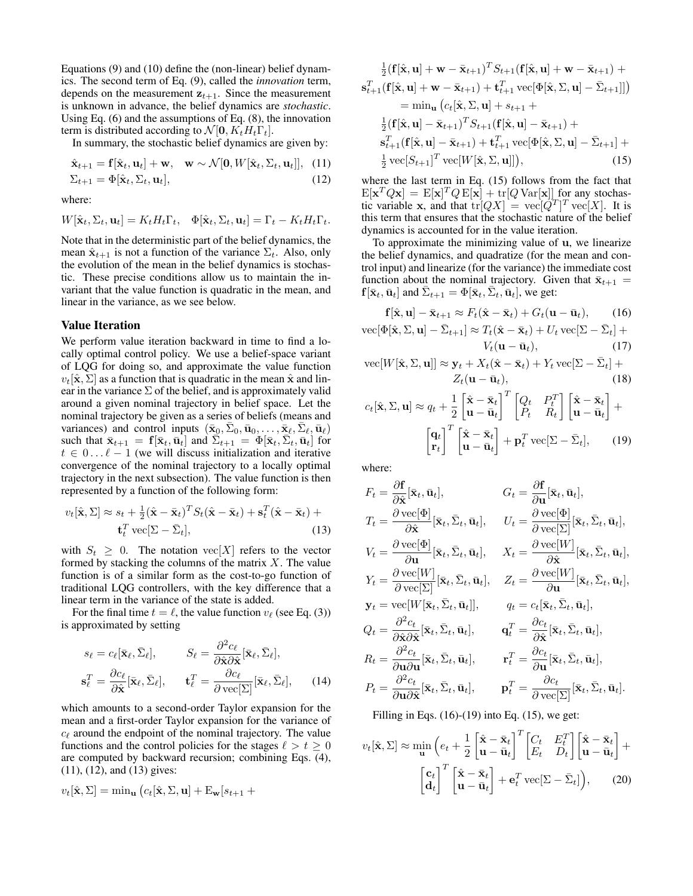Equations (9) and (10) define the (non-linear) belief dynamics. The second term of Eq. (9), called the *innovation* term, depends on the measurement  $z_{t+1}$ . Since the measurement is unknown in advance, the belief dynamics are *stochastic*. Using Eq. (6) and the assumptions of Eq. (8), the innovation term is distributed according to  $\mathcal{N}[\mathbf{0}, K_t H_t \Gamma_t]$ .

In summary, the stochastic belief dynamics are given by:

$$
\hat{\mathbf{x}}_{t+1} = \mathbf{f}[\hat{\mathbf{x}}_t, \mathbf{u}_t] + \mathbf{w}, \quad \mathbf{w} \sim \mathcal{N}[\mathbf{0}, W[\hat{\mathbf{x}}_t, \Sigma_t, \mathbf{u}_t]], \quad (11)
$$
  

$$
\Sigma_{t+1} = \Phi[\hat{\mathbf{x}}_t, \Sigma_t, \mathbf{u}_t], \quad (12)
$$

where:

$$
W[\hat{\mathbf{x}}_t, \Sigma_t, \mathbf{u}_t] = K_t H_t \Gamma_t, \quad \Phi[\hat{\mathbf{x}}_t, \Sigma_t, \mathbf{u}_t] = \Gamma_t - K_t H_t \Gamma_t.
$$

Note that in the deterministic part of the belief dynamics, the mean  $\hat{\mathbf{x}}_{t+1}$  is not a function of the variance  $\Sigma_t$ . Also, only the evolution of the mean in the belief dynamics is stochastic. These precise conditions allow us to maintain the invariant that the value function is quadratic in the mean, and linear in the variance, as we see below.

#### Value Iteration

We perform value iteration backward in time to find a locally optimal control policy. We use a belief-space variant of LQG for doing so, and approximate the value function  $v_t[\hat{\mathbf{x}}, \Sigma]$  as a function that is quadratic in the mean  $\hat{\mathbf{x}}$  and linear in the variance  $\Sigma$  of the belief, and is approximately valid around a given nominal trajectory in belief space. Let the nominal trajectory be given as a series of beliefs (means and variances) and control inputs  $(\bar{\mathbf{x}}_0, \bar{\Sigma}_0, \bar{\mathbf{u}}_0, \dots, \bar{\mathbf{x}}_\ell, \bar{\Sigma}_\ell, \bar{\mathbf{u}}_\ell)$ such that  $\bar{\mathbf{x}}_{t+1} = \mathbf{f}[\bar{\mathbf{x}}_t, \bar{\mathbf{u}}_t]$  and  $\bar{\Sigma}_{t+1} = \Phi[\bar{\mathbf{x}}_t, \bar{\Sigma}_t, \bar{\mathbf{u}}_t]$  for  $t \in 0...l - 1$  (we will discuss initialization and iterative convergence of the nominal trajectory to a locally optimal trajectory in the next subsection). The value function is then represented by a function of the following form:

$$
v_t[\hat{\mathbf{x}}, \Sigma] \approx s_t + \frac{1}{2}(\hat{\mathbf{x}} - \bar{\mathbf{x}}_t)^T S_t(\hat{\mathbf{x}} - \bar{\mathbf{x}}_t) + \mathbf{s}_t^T(\hat{\mathbf{x}} - \bar{\mathbf{x}}_t) + \mathbf{t}_t^T \operatorname{vec}[\Sigma - \bar{\Sigma}_t],
$$
(13)

with  $S_t \geq 0$ . The notation vec[X] refers to the vector formed by stacking the columns of the matrix  $X$ . The value function is of a similar form as the cost-to-go function of traditional LQG controllers, with the key difference that a linear term in the variance of the state is added.

For the final time  $t = \ell$ , the value function  $v_{\ell}$  (see Eq. (3)) is approximated by setting

$$
s_{\ell} = c_{\ell}[\bar{\mathbf{x}}_{\ell}, \bar{\Sigma}_{\ell}], \qquad S_{\ell} = \frac{\partial^2 c_{\ell}}{\partial \hat{\mathbf{x}} \partial \hat{\mathbf{x}}}[\bar{\mathbf{x}}_{\ell}, \bar{\Sigma}_{\ell}],
$$

$$
\mathbf{s}_{\ell}^T = \frac{\partial c_{\ell}}{\partial \hat{\mathbf{x}}}[\bar{\mathbf{x}}_{\ell}, \bar{\Sigma}_{\ell}], \qquad \mathbf{t}_{\ell}^T = \frac{\partial c_{\ell}}{\partial \text{vec}[\Sigma]}[\bar{\mathbf{x}}_{\ell}, \bar{\Sigma}_{\ell}], \qquad (14)
$$

which amounts to a second-order Taylor expansion for the mean and a first-order Taylor expansion for the variance of  $c_{\ell}$  around the endpoint of the nominal trajectory. The value functions and the control policies for the stages  $\ell > t \geq 0$ are computed by backward recursion; combining Eqs. (4), (11), (12), and (13) gives:

$$
v_t[\hat{\mathbf{x}}, \Sigma] = \min_{\mathbf{u}} \left( c_t[\hat{\mathbf{x}}, \Sigma, \mathbf{u}] + \mathrm{E}_{\mathbf{w}}[s_{t+1} +
$$

$$
\frac{1}{2}(\mathbf{f}[\hat{\mathbf{x}}, \mathbf{u}] + \mathbf{w} - \bar{\mathbf{x}}_{t+1})^T S_{t+1}(\mathbf{f}[\hat{\mathbf{x}}, \mathbf{u}] + \mathbf{w} - \bar{\mathbf{x}}_{t+1}) +\n\mathbf{s}_{t+1}^T(\mathbf{f}[\hat{\mathbf{x}}, \mathbf{u}] + \mathbf{w} - \bar{\mathbf{x}}_{t+1}) + \mathbf{t}_{t+1}^T \text{vec}[\Phi[\hat{\mathbf{x}}, \Sigma, \mathbf{u}] - \bar{\Sigma}_{t+1}]]\n= \min_{\mathbf{u}} (c_t[\hat{\mathbf{x}}, \Sigma, \mathbf{u}] + s_{t+1} +\n\frac{1}{2}(\mathbf{f}[\hat{\mathbf{x}}, \mathbf{u}] - \bar{\mathbf{x}}_{t+1})^T S_{t+1}(\mathbf{f}[\hat{\mathbf{x}}, \mathbf{u}] - \bar{\mathbf{x}}_{t+1}) +\n\mathbf{s}_{t+1}^T(\mathbf{f}[\hat{\mathbf{x}}, \mathbf{u}] - \bar{\mathbf{x}}_{t+1}) + \mathbf{t}_{t+1}^T \text{vec}[\Phi[\hat{\mathbf{x}}, \Sigma, \mathbf{u}] - \bar{\Sigma}_{t+1}] +\n\frac{1}{2} \text{vec}[S_{t+1}]^T \text{vec}[W[\hat{\mathbf{x}}, \Sigma, \mathbf{u}]]), \tag{15}
$$

where the last term in Eq. (15) follows from the fact that  $\mathbb{E}[\mathbf{x}^T Q \mathbf{x}] = \mathbb{E}[\mathbf{x}]^T Q \mathbb{E}[\mathbf{x}] + \text{tr}[Q \text{Var}[\mathbf{x}]]$  for any stochastic variable x, and that  $tr[QX] = vec[Q^T]^T vec[X]$ . It is this term that ensures that the stochastic nature of the belief dynamics is accounted for in the value iteration.

To approximate the minimizing value of u, we linearize the belief dynamics, and quadratize (for the mean and control input) and linearize (for the variance) the immediate cost function about the nominal trajectory. Given that  $\bar{\mathbf{x}}_{t+1} =$  $f[\bar{\mathbf{x}}_t, \bar{\mathbf{u}}_t]$  and  $\bar{\Sigma}_{t+1} = \Phi[\bar{\mathbf{x}}_t, \bar{\Sigma}_t, \bar{\mathbf{u}}_t]$ , we get:

$$
\mathbf{f}[\hat{\mathbf{x}}, \mathbf{u}] - \bar{\mathbf{x}}_{t+1} \approx F_t(\hat{\mathbf{x}} - \bar{\mathbf{x}}_t) + G_t(\mathbf{u} - \bar{\mathbf{u}}_t), \quad (16)
$$
  
vec
$$
[\Phi[\hat{\mathbf{x}}, \Sigma, \mathbf{u}] - \bar{\Sigma}_{t+1}] \approx T_t(\hat{\mathbf{x}} - \bar{\mathbf{x}}_t) + U_t \operatorname{vec}[\Sigma - \bar{\Sigma}_t] + V_t(\mathbf{u} - \bar{\mathbf{u}}_t), \quad (17)
$$

vec[
$$
W[\hat{\mathbf{x}}, \Sigma, \mathbf{u}
$$
]]  $\approx \mathbf{y}_t + X_t(\hat{\mathbf{x}} - \bar{\mathbf{x}}_t) + Y_t \text{vec}[\Sigma - \bar{\Sigma}_t] + Z_t(\mathbf{u} - \bar{\mathbf{u}}_t),$  (18)

$$
c_t[\hat{\mathbf{x}}, \Sigma, \mathbf{u}] \approx q_t + \frac{1}{2} \begin{bmatrix} \hat{\mathbf{x}} - \bar{\mathbf{x}}_t \\ \mathbf{u} - \bar{\mathbf{u}}_t \end{bmatrix}^T \begin{bmatrix} Q_t & P_t^T \\ P_t & R_t \end{bmatrix} \begin{bmatrix} \hat{\mathbf{x}} - \bar{\mathbf{x}}_t \\ \mathbf{u} - \bar{\mathbf{u}}_t \end{bmatrix} + \begin{bmatrix} \mathbf{q}_t \\ \mathbf{r}_t \end{bmatrix}^T \begin{bmatrix} \hat{\mathbf{x}} - \bar{\mathbf{x}}_t \\ \mathbf{u} - \bar{\mathbf{u}}_t \end{bmatrix} + \mathbf{p}_t^T \text{ vec}[\Sigma - \bar{\Sigma}_t], \quad (19)
$$

where:

$$
F_t = \frac{\partial \mathbf{f}}{\partial \hat{\mathbf{x}}} [\bar{\mathbf{x}}_t, \bar{\mathbf{u}}_t], \qquad G_t = \frac{\partial \mathbf{f}}{\partial \mathbf{u}} [\bar{\mathbf{x}}_t, \bar{\mathbf{u}}_t],
$$
  
\n
$$
T_t = \frac{\partial \text{ vec}[\Phi]}{\partial \hat{\mathbf{x}}} [\bar{\mathbf{x}}_t, \bar{\Sigma}_t, \bar{\mathbf{u}}_t], \qquad U_t = \frac{\partial \text{ vec}[\Phi]}{\partial \text{ vec}[\Sigma]} [\bar{\mathbf{x}}_t, \bar{\Sigma}_t, \bar{\mathbf{u}}_t],
$$
  
\n
$$
V_t = \frac{\partial \text{ vec}[\Phi]}{\partial \mathbf{u}} [\bar{\mathbf{x}}_t, \bar{\Sigma}_t, \bar{\mathbf{u}}_t], \qquad X_t = \frac{\partial \text{ vec}[W]}{\partial \hat{\mathbf{x}}} [\bar{\mathbf{x}}_t, \bar{\Sigma}_t, \bar{\mathbf{u}}_t],
$$
  
\n
$$
Y_t = \frac{\partial \text{ vec}[W]}{\partial \text{ vec}[\Sigma]} [\bar{\mathbf{x}}_t, \bar{\Sigma}_t, \bar{\mathbf{u}}_t], \qquad Z_t = \frac{\partial \text{ vec}[W]}{\partial \mathbf{u}} [\bar{\mathbf{x}}_t, \bar{\Sigma}_t, \bar{\mathbf{u}}_t],
$$
  
\n
$$
\mathbf{y}_t = \text{ vec}[W[\bar{\mathbf{x}}_t, \bar{\Sigma}_t, \bar{\mathbf{u}}_t]], \qquad q_t = c_t [\bar{\mathbf{x}}_t, \bar{\Sigma}_t, \bar{\mathbf{u}}_t],
$$
  
\n
$$
Q_t = \frac{\partial^2 c_t}{\partial \hat{\mathbf{x}} \partial \hat{\mathbf{x}}} [\bar{\mathbf{x}}_t, \bar{\Sigma}_t, \bar{\mathbf{u}}_t], \qquad \mathbf{q}_t^T = \frac{\partial c_t}{\partial \hat{\mathbf{x}}} [\bar{\mathbf{x}}_t, \bar{\Sigma}_t, \bar{\mathbf{u}}_t],
$$
  
\n
$$
R_t = \frac{\partial^2 c_t}{\partial \mathbf{u} \partial \mathbf{u}} [\bar{\mathbf{x}}_t, \bar{\Sigma}_t, \bar{\mathbf{u}}_t], \qquad \mathbf{r}_t^T = \frac{\partial c_t}{\partial \mathbf{u}} [\bar{\mathbf
$$

Filling in Eqs.  $(16)-(19)$  into Eq.  $(15)$ , we get:

$$
v_t[\hat{\mathbf{x}}, \Sigma] \approx \min_{\mathbf{u}} \left( e_t + \frac{1}{2} \begin{bmatrix} \hat{\mathbf{x}} - \bar{\mathbf{x}}_t \\ \mathbf{u} - \bar{\mathbf{u}}_t \end{bmatrix}^T \begin{bmatrix} C_t & E_t^T \\ E_t & D_t \end{bmatrix} \begin{bmatrix} \hat{\mathbf{x}} - \bar{\mathbf{x}}_t \\ \mathbf{u} - \bar{\mathbf{u}}_t \end{bmatrix} + \begin{bmatrix} \hat{\mathbf{x}} - \bar{\mathbf{x}}_t \\ \mathbf{d}_t \end{bmatrix}^T \begin{bmatrix} \hat{\mathbf{x}} - \bar{\mathbf{x}}_t \\ \mathbf{u} - \bar{\mathbf{u}}_t \end{bmatrix} + \mathbf{e}_t^T \text{vec}[\Sigma - \bar{\Sigma}_t] \right), \tag{20}
$$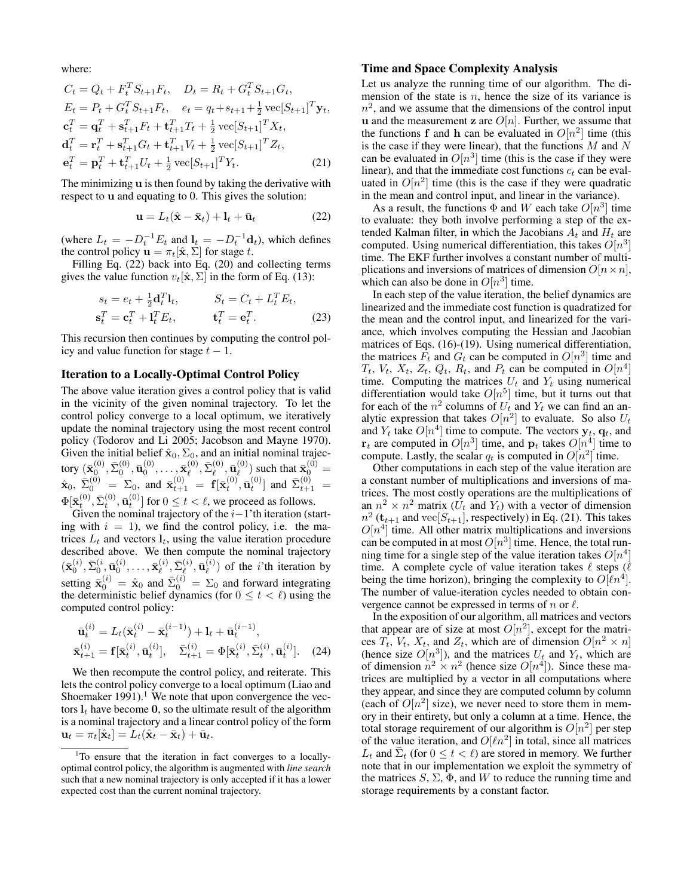where:

$$
C_t = Q_t + F_t^T S_{t+1} F_t, \quad D_t = R_t + G_t^T S_{t+1} G_t,
$$
  
\n
$$
E_t = P_t + G_t^T S_{t+1} F_t, \quad e_t = q_t + s_{t+1} + \frac{1}{2} \text{vec}[S_{t+1}]^T \mathbf{y}_t,
$$
  
\n
$$
\mathbf{c}_t^T = \mathbf{q}_t^T + \mathbf{s}_{t+1}^T F_t + \mathbf{t}_{t+1}^T T_t + \frac{1}{2} \text{vec}[S_{t+1}]^T X_t,
$$
  
\n
$$
\mathbf{d}_t^T = \mathbf{r}_t^T + \mathbf{s}_{t+1}^T G_t + \mathbf{t}_{t+1}^T V_t + \frac{1}{2} \text{vec}[S_{t+1}]^T Z_t,
$$
  
\n
$$
\mathbf{e}_t^T = \mathbf{p}_t^T + \mathbf{t}_{t+1}^T U_t + \frac{1}{2} \text{vec}[S_{t+1}]^T Y_t.
$$
\n(21)

The minimizing u is then found by taking the derivative with respect to u and equating to 0. This gives the solution:

$$
\mathbf{u} = L_t(\hat{\mathbf{x}} - \bar{\mathbf{x}}_t) + \mathbf{l}_t + \bar{\mathbf{u}}_t \tag{22}
$$

(where  $L_t = -D_t^{-1}E_t$  and  $\mathbf{l}_t = -D_t^{-1}\mathbf{d}_t$ ), which defines the control policy  $\mathbf{u} = \pi_t[\hat{\mathbf{x}}, \Sigma]$  for stage t.

Filling Eq. (22) back into Eq. (20) and collecting terms gives the value function  $v_t[\hat{\mathbf{x}}, \Sigma]$  in the form of Eq. (13):

$$
s_t = e_t + \frac{1}{2} \mathbf{d}_t^T \mathbf{l}_t, \qquad S_t = C_t + L_t^T E_t,
$$
  
\n
$$
\mathbf{s}_t^T = \mathbf{c}_t^T + \mathbf{l}_t^T E_t, \qquad \mathbf{t}_t^T = \mathbf{e}_t^T.
$$
 (23)

This recursion then continues by computing the control policy and value function for stage  $t - 1$ .

#### Iteration to a Locally-Optimal Control Policy

The above value iteration gives a control policy that is valid in the vicinity of the given nominal trajectory. To let the control policy converge to a local optimum, we iteratively update the nominal trajectory using the most recent control policy (Todorov and Li 2005; Jacobson and Mayne 1970). Given the initial belief  $\hat{\mathbf{x}}_0$ ,  $\Sigma_0$ , and an initial nominal trajectory  $(\bar{\mathbf{x}}^{(0)}_0, \bar{\Sigma}^{(0)}_0, \bar{\mathbf{u}}^{(0)}_0, \ldots, \bar{\mathbf{x}}^{(0)}_\ell$  $_{\ell}^{(0)}, \bar{\Sigma}_{\ell}^{(0)}$  $_{\ell}^{\left(0\right)},\bar{\mathbf{u}}_{\ell}^{\left(0\right)}$  $\bar{\mathbf{x}}_0^{(0)}$  such that  $\bar{\mathbf{x}}_0^{(0)} =$  $\hat{\mathbf{x}}_0$ ,  $\bar{\Sigma}_0^{(0)}$  =  $\Sigma_0$ , and  $\bar{\mathbf{x}}_{t+1}^{(0)}$  =  $\mathbf{f}[\bar{\mathbf{x}}_t^{(0)}, \bar{\mathbf{u}}_t^{(0)}]$  and  $\bar{\Sigma}_{t+1}^{(0)}$  =  $\Phi[\bar{\mathbf{x}}_t^{(0)}, \bar{\Sigma}_t^{(0)}, \bar{\mathbf{u}}_t^{(0)}]$  for  $0 \le t < \ell$ , we proceed as follows.

Given the nominal trajectory of the  $i-1$ 'th iteration (starting with  $i = 1$ , we find the control policy, i.e. the matrices  $L_t$  and vectors  $l_t$ , using the value iteration procedure described above. We then compute the nominal trajectory  $(\bar{\mathbf{x}}_0^{(i)}, \bar{\Sigma}_0^{(i)}, \bar{\mathbf{u}}_0^{(i)}, \dots, \bar{\mathbf{x}}_\ell^{(i)})$  $_{\ell}^{(i)}, \bar{\Sigma}_{\ell}^{(i)}$  $_{\ell}^{(i)},\bar{\mathbf{u}}_{\ell}^{(i)}$  $\binom{v}{\ell}$  of the *i*'th iteration by setting  $\bar{\mathbf{x}}_0^{(i)} = \hat{\mathbf{x}}_0$  and  $\bar{\Sigma}_0^{(i)} = \Sigma_0$  and forward integrating the deterministic belief dynamics (for  $0 \le t < l$ ) using the computed control policy:

$$
\bar{\mathbf{u}}_t^{(i)} = L_t(\bar{\mathbf{x}}_t^{(i)} - \bar{\mathbf{x}}_t^{(i-1)}) + \mathbf{l}_t + \bar{\mathbf{u}}_t^{(i-1)},
$$
\n
$$
\bar{\mathbf{x}}_{t+1}^{(i)} = \mathbf{f}[\bar{\mathbf{x}}_t^{(i)}, \bar{\mathbf{u}}_t^{(i)}], \quad \bar{\Sigma}_{t+1}^{(i)} = \Phi[\bar{\mathbf{x}}_t^{(i)}, \bar{\Sigma}_t^{(i)}, \bar{\mathbf{u}}_t^{(i)}]. \quad (24)
$$

We then recompute the control policy, and reiterate. This lets the control policy converge to a local optimum (Liao and Shoemaker 1991).<sup>1</sup> We note that upon convergence the vectors  $l_t$  have become 0, so the ultimate result of the algorithm is a nominal trajectory and a linear control policy of the form  $\mathbf{u}_t = \pi_t[\hat{\mathbf{x}}_t] = L_t(\hat{\mathbf{x}}_t - \bar{\mathbf{x}}_t) + \bar{\mathbf{u}}_t.$ 

#### Time and Space Complexity Analysis

Let us analyze the running time of our algorithm. The dimension of the state is  $n$ , hence the size of its variance is  $n^2$ , and we assume that the dimensions of the control input u and the measurement z are  $O[n]$ . Further, we assume that the functions f and h can be evaluated in  $O[n^2]$  time (this is the case if they were linear), that the functions  $M$  and  $N$ can be evaluated in  $O[n^3]$  time (this is the case if they were linear), and that the immediate cost functions  $c_t$  can be evaluated in  $O[n^2]$  time (this is the case if they were quadratic in the mean and control input, and linear in the variance).

As a result, the functions  $\Phi$  and W each take  $O[n^3]$  time to evaluate: they both involve performing a step of the extended Kalman filter, in which the Jacobians  $A_t$  and  $H_t$  are computed. Using numerical differentiation, this takes  $O[n^3]$ time. The EKF further involves a constant number of multiplications and inversions of matrices of dimension  $O[n \times n]$ , which can also be done in  $O[n^3]$  time.

In each step of the value iteration, the belief dynamics are linearized and the immediate cost function is quadratized for the mean and the control input, and linearized for the variance, which involves computing the Hessian and Jacobian matrices of Eqs. (16)-(19). Using numerical differentiation, the matrices  $\hat{F}_t$  and  $G_t$  can be computed in  $O[n^3]$  time and  $T_t$ ,  $V_t$ ,  $X_t$ ,  $Z_t$ ,  $Q_t$ ,  $R_t$ , and  $P_t$  can be computed in  $O[n^4]$ time. Computing the matrices  $U_t$  and  $Y_t$  using numerical differentiation would take  $O[n^5]$  time, but it turns out that for each of the  $n^2$  columns of  $U_t$  and  $Y_t$  we can find an analytic expression that takes  $O[n^2]$  to evaluate. So also  $U_t$ and  $Y_t$  take  $O[n^4]$  time to compute. The vectors  $y_t$ ,  $q_t$ , and  $r_t$  are computed in  $O[n^3]$  time, and  $p_t$  takes  $O[n^4]$  time to compute. Lastly, the scalar  $q_t$  is computed in  $O[n^2]$  time.

Other computations in each step of the value iteration are a constant number of multiplications and inversions of matrices. The most costly operations are the multiplications of an  $n^2 \times n^2$  matrix  $(U_t$  and  $Y_t$ ) with a vector of dimension  $n^2$  ( $\mathbf{t}_{t+1}$  and  $\text{vec}[S_{t+1}]$ , respectively) in Eq. (21). This takes  $O[n<sup>4</sup>]$  time. All other matrix multiplications and inversions can be computed in at most  $O[n^3]$  time. Hence, the total running time for a single step of the value iteration takes  $O[n^4]$ time. A complete cycle of value iteration takes  $\ell$  steps ( $\ell$ being the time horizon), bringing the complexity to  $O[\ell n^4]$ . The number of value-iteration cycles needed to obtain convergence cannot be expressed in terms of n or  $\ell$ .

In the exposition of our algorithm, all matrices and vectors that appear are of size at most  $O[n^2]$ , except for the matrices  $T_t$ ,  $V_t$ ,  $X_t$ , and  $Z_t$ , which are of dimension  $O[n^2 \times n]$ (hence size  $O[n^3]$ ), and the matrices  $U_t$  and  $Y_t$ , which are of dimension  $n^2 \times n^2$  (hence size  $O[n^4]$ ). Since these matrices are multiplied by a vector in all computations where they appear, and since they are computed column by column (each of  $O[n^2]$  size), we never need to store them in memory in their entirety, but only a column at a time. Hence, the total storage requirement of our algorithm is  $O[n^2]$  per step of the value iteration, and  $O[\ln^2]$  in total, since all matrices  $L_t$  and  $\bar{\Sigma}_t$  (for  $0 \le t < \ell$ ) are stored in memory. We further note that in our implementation we exploit the symmetry of the matrices  $S$ ,  $\Sigma$ ,  $\Phi$ , and W to reduce the running time and storage requirements by a constant factor.

<sup>&</sup>lt;sup>1</sup>To ensure that the iteration in fact converges to a locallyoptimal control policy, the algorithm is augmented with *line search* such that a new nominal trajectory is only accepted if it has a lower expected cost than the current nominal trajectory.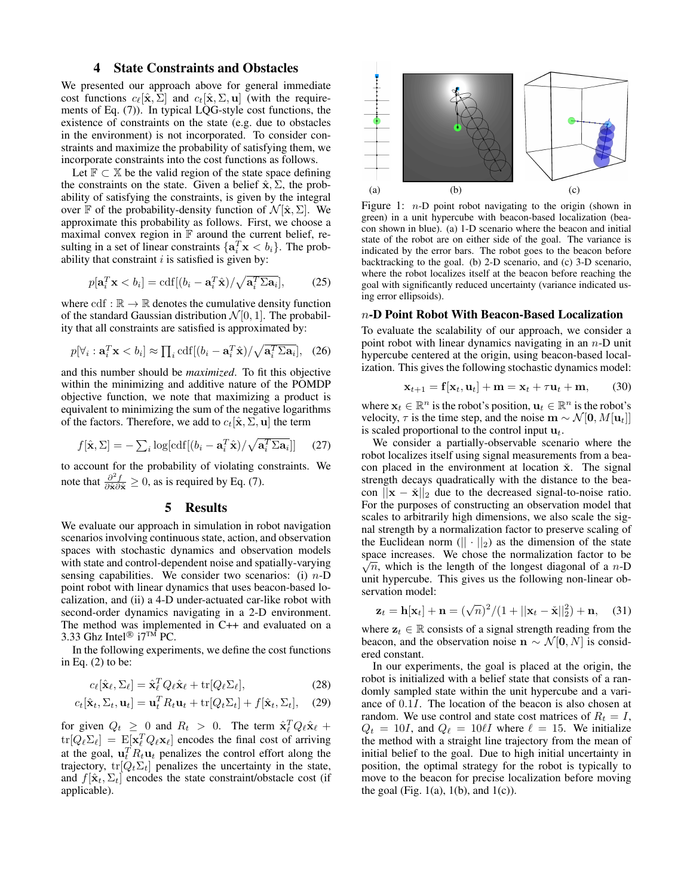## 4 State Constraints and Obstacles

We presented our approach above for general immediate cost functions  $c_{\ell}[\hat{\mathbf{x}}, \Sigma]$  and  $c_{t}[\hat{\mathbf{x}}, \Sigma, \mathbf{u}]$  (with the requirements of Eq. (7)). In typical LQG-style cost functions, the existence of constraints on the state (e.g. due to obstacles in the environment) is not incorporated. To consider constraints and maximize the probability of satisfying them, we incorporate constraints into the cost functions as follows.

Let  $\mathbb{F} \subset \mathbb{X}$  be the valid region of the state space defining the constraints on the state. Given a belief  $\hat{\mathbf{x}}$ ,  $\Sigma$ , the probability of satisfying the constraints, is given by the integral over F of the probability-density function of  $\mathcal{N}[\hat{\mathbf{x}}, \Sigma]$ . We approximate this probability as follows. First, we choose a maximal convex region in  $F$  around the current belief, resulting in a set of linear constraints  $\{a_i^T x < b_i\}$ . The probability that constraint  $i$  is satisfied is given by:

$$
p[\mathbf{a}_i^T \mathbf{x} < b_i] = \text{cdf}[(b_i - \mathbf{a}_i^T \hat{\mathbf{x}}) / \sqrt{\mathbf{a}_i^T \Sigma \mathbf{a}_i}],\tag{25}
$$

where cdf :  $\mathbb{R} \to \mathbb{R}$  denotes the cumulative density function of the standard Gaussian distribution  $\mathcal{N}[0, 1]$ . The probability that all constraints are satisfied is approximated by:

$$
p[\forall_i : \mathbf{a}_i^T \mathbf{x} < b_i] \approx \prod_i \text{cdf}[(b_i - \mathbf{a}_i^T \hat{\mathbf{x}}) / \sqrt{\mathbf{a}_i^T \Sigma \mathbf{a}_i}], \quad (26)
$$

and this number should be *maximized*. To fit this objective within the minimizing and additive nature of the POMDP objective function, we note that maximizing a product is equivalent to minimizing the sum of the negative logarithms of the factors. Therefore, we add to  $c_t[\hat{\mathbf{x}}, \Sigma, \mathbf{u}]$  the term

$$
f[\hat{\mathbf{x}}, \Sigma] = -\sum_{i} \log[\text{cdf}[(b_i - \mathbf{a}_i^T \hat{\mathbf{x}}) / \sqrt{\mathbf{a}_i^T \Sigma \mathbf{a}_i}]] \quad (27)
$$

to account for the probability of violating constraints. We note that  $\frac{\partial^2 f}{\partial \hat{\mathbf{x}} \partial \hat{\mathbf{x}}} \geq 0$ , as is required by Eq. (7).

#### 5 Results

We evaluate our approach in simulation in robot navigation scenarios involving continuous state, action, and observation spaces with stochastic dynamics and observation models with state and control-dependent noise and spatially-varying sensing capabilities. We consider two scenarios: (i)  $n-D$ point robot with linear dynamics that uses beacon-based localization, and (ii) a 4-D under-actuated car-like robot with second-order dynamics navigating in a 2-D environment. The method was implemented in C++ and evaluated on a 3.33 Ghz Intel<sup>®</sup> i7<sup>™</sup> PC.

In the following experiments, we define the cost functions in Eq.  $(2)$  to be:

$$
c_{\ell}[\hat{\mathbf{x}}_{\ell}, \Sigma_{\ell}] = \hat{\mathbf{x}}_{\ell}^T Q_{\ell} \hat{\mathbf{x}}_{\ell} + \text{tr}[Q_{\ell} \Sigma_{\ell}], \qquad (28)
$$

$$
c_t[\hat{\mathbf{x}}_t, \Sigma_t, \mathbf{u}_t] = \mathbf{u}_t^T R_t \mathbf{u}_t + \text{tr}[Q_t \Sigma_t] + f[\hat{\mathbf{x}}_t, \Sigma_t], \quad (29)
$$

for given  $Q_t \geq 0$  and  $R_t > 0$ . The term  $\hat{\mathbf{x}}_l^T Q_\ell \hat{\mathbf{x}}_\ell +$  $tr[Q_\ell \Sigma_\ell] = \mathbb{E}[\mathbf{x}_\ell^T Q_\ell \mathbf{x}_\ell]$  encodes the final cost of arriving at the goal,  $\mathbf{u}_t^T R_t \mathbf{u}_t$  penalizes the control effort along the trajectory,  $tr[Q_t \Sigma_t]$  penalizes the uncertainty in the state, and  $f[\hat{\mathbf{x}}_t, \Sigma_t]$  encodes the state constraint/obstacle cost (if applicable).



Figure 1:  $n-D$  point robot navigating to the origin (shown in green) in a unit hypercube with beacon-based localization (beacon shown in blue). (a) 1-D scenario where the beacon and initial state of the robot are on either side of the goal. The variance is indicated by the error bars. The robot goes to the beacon before backtracking to the goal. (b) 2-D scenario, and (c) 3-D scenario, where the robot localizes itself at the beacon before reaching the goal with significantly reduced uncertainty (variance indicated using error ellipsoids).

#### n-D Point Robot With Beacon-Based Localization

To evaluate the scalability of our approach, we consider a point robot with linear dynamics navigating in an  $n$ -D unit hypercube centered at the origin, using beacon-based localization. This gives the following stochastic dynamics model:

$$
\mathbf{x}_{t+1} = \mathbf{f}[\mathbf{x}_t, \mathbf{u}_t] + \mathbf{m} = \mathbf{x}_t + \tau \mathbf{u}_t + \mathbf{m}, \qquad (30)
$$

where  $\mathbf{x}_t \in \mathbb{R}^n$  is the robot's position,  $\mathbf{u}_t \in \mathbb{R}^n$  is the robot's velocity,  $\tau$  is the time step, and the noise  $\mathbf{m} \sim \mathcal{N}[\mathbf{0}, M[\mathbf{u}_t]]$ is scaled proportional to the control input  $\mathbf{u}_t$ .

We consider a partially-observable scenario where the robot localizes itself using signal measurements from a beacon placed in the environment at location  $\check{x}$ . The signal strength decays quadratically with the distance to the beacon  $||\mathbf{x} - \check{\mathbf{x}}||_2$  due to the decreased signal-to-noise ratio. For the purposes of constructing an observation model that scales to arbitrarily high dimensions, we also scale the signal strength by a normalization factor to preserve scaling of the Euclidean norm  $(|| \cdot ||_2)$  as the dimension of the state space increases. We chose the normalization factor to be  $\sqrt{ }$  $\sqrt{n}$ , which is the length of the longest diagonal of a n-D unit hypercube. This gives us the following non-linear observation model:

$$
\mathbf{z}_t = \mathbf{h}[\mathbf{x}_t] + \mathbf{n} = (\sqrt{n})^2 / (1 + ||\mathbf{x}_t - \check{\mathbf{x}}||_2^2) + \mathbf{n}, \quad (31)
$$

where  $z_t \in \mathbb{R}$  consists of a signal strength reading from the beacon, and the observation noise  $\mathbf{n} \sim \mathcal{N}[\mathbf{0}, N]$  is considered constant.

In our experiments, the goal is placed at the origin, the robot is initialized with a belief state that consists of a randomly sampled state within the unit hypercube and a variance of 0.1I. The location of the beacon is also chosen at random. We use control and state cost matrices of  $R_t = I$ ,  $Q_t = 10I$ , and  $Q_\ell = 10\ell I$  where  $\ell = 15$ . We initialize the method with a straight line trajectory from the mean of initial belief to the goal. Due to high initial uncertainty in position, the optimal strategy for the robot is typically to move to the beacon for precise localization before moving the goal (Fig. 1(a), 1(b), and 1(c)).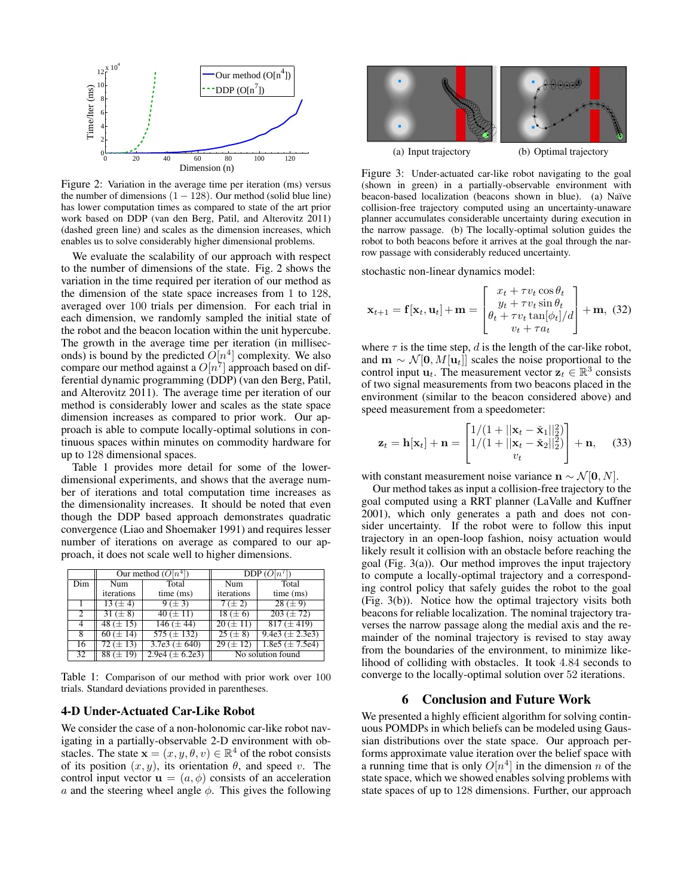

Figure 2: Variation in the average time per iteration (ms) versus the number of dimensions  $(1 - 128)$ . Our method (solid blue line) has lower computation times as compared to state of the art prior work based on DDP (van den Berg, Patil, and Alterovitz 2011) (dashed green line) and scales as the dimension increases, which enables us to solve considerably higher dimensional problems.

We evaluate the scalability of our approach with respect to the number of dimensions of the state. Fig. 2 shows the variation in the time required per iteration of our method as the dimension of the state space increases from 1 to 128, averaged over 100 trials per dimension. For each trial in each dimension, we randomly sampled the initial state of the robot and the beacon location within the unit hypercube. The growth in the average time per iteration (in milliseconds) is bound by the predicted  $\overline{O}[n^4]$  complexity. We also compare our method against a  $O[n^7]$  approach based on differential dynamic programming (DDP) (van den Berg, Patil, and Alterovitz 2011). The average time per iteration of our method is considerably lower and scales as the state space dimension increases as compared to prior work. Our approach is able to compute locally-optimal solutions in continuous spaces within minutes on commodity hardware for up to 128 dimensional spaces.

Table 1 provides more detail for some of the lowerdimensional experiments, and shows that the average number of iterations and total computation time increases as the dimensionality increases. It should be noted that even though the DDP based approach demonstrates quadratic convergence (Liao and Shoemaker 1991) and requires lesser number of iterations on average as compared to our approach, it does not scale well to higher dimensions.

|     | Our method $(O[n^4])$ |                     | $\overline{\mathrm{DDP}}(O[n^{\prime}])$ |                     |
|-----|-----------------------|---------------------|------------------------------------------|---------------------|
| Dim | Num                   | Total               | Num                                      | Total               |
|     | iterations            | time (ms)           | iterations                               | time (ms)           |
|     | $13 (\pm 4)$          | 9 (± 3)             | $7 (\pm 2)$                              | $28 (\pm 9)$        |
| 2   | $31 (\pm 8)$          | $40 (\pm 11)$       | $18 (\pm 6)$                             | $203 (\pm 72)$      |
| 4   | $\sqrt{48 (\pm 15)}$  | $146 (\pm 44)$      | $20 (\pm 11)$                            | $817 (\pm 419)$     |
| 8   | $\sqrt{60} (\pm 14)$  | $575 (\pm 132)$     | $\sqrt{25} (\pm 8)$                      | 9.4e3 $(\pm 2.3e3)$ |
| 16  | 72 ( $\pm$ 13)        | $3.7e3 (\pm 640)$   | $\sqrt{29 (\pm 12)}$                     | 1.8e5 $(\pm 7.5e4)$ |
| 32  | $88 (\pm 19)$         | $2.9e4 (\pm 6.2e3)$ | No solution found                        |                     |

Table 1: Comparison of our method with prior work over 100 trials. Standard deviations provided in parentheses.

#### 4-D Under-Actuated Car-Like Robot

We consider the case of a non-holonomic car-like robot navigating in a partially-observable 2-D environment with obstacles. The state  $\mathbf{x} = (x, y, \theta, v) \in \mathbb{R}^4$  of the robot consists of its position  $(x, y)$ , its orientation  $\theta$ , and speed v. The control input vector  $\mathbf{u} = (a, \phi)$  consists of an acceleration a and the steering wheel angle  $\phi$ . This gives the following



Figure 3: Under-actuated car-like robot navigating to the goal (shown in green) in a partially-observable environment with beacon-based localization (beacons shown in blue). (a) Naïve collision-free trajectory computed using an uncertainty-unaware planner accumulates considerable uncertainty during execution in the narrow passage. (b) The locally-optimal solution guides the robot to both beacons before it arrives at the goal through the narrow passage with considerably reduced uncertainty.

stochastic non-linear dynamics model:

$$
\mathbf{x}_{t+1} = \mathbf{f}[\mathbf{x}_t, \mathbf{u}_t] + \mathbf{m} = \begin{bmatrix} x_t + \tau v_t \cos \theta_t \\ y_t + \tau v_t \sin \theta_t \\ \theta_t + \tau v_t \tan[\phi_t]/d \\ v_t + \tau a_t \end{bmatrix} + \mathbf{m}, \tag{32}
$$

where  $\tau$  is the time step, d is the length of the car-like robot, and  $\mathbf{m} \sim \mathcal{N}[\mathbf{0}, M[\mathbf{u}_t]]$  scales the noise proportional to the control input  $\mathbf{u}_t$ . The measurement vector  $\mathbf{z}_t \in \mathbb{R}^3$  consists of two signal measurements from two beacons placed in the environment (similar to the beacon considered above) and speed measurement from a speedometer:

$$
\mathbf{z}_t = \mathbf{h}[\mathbf{x}_t] + \mathbf{n} = \begin{bmatrix} 1/(1+||\mathbf{x}_t - \check{\mathbf{x}}_1||_2^2) \\ 1/(1+||\mathbf{x}_t - \check{\mathbf{x}}_2||_2^2) \\ v_t \end{bmatrix} + \mathbf{n}, \quad (33)
$$

with constant measurement noise variance  $\mathbf{n} \sim \mathcal{N}[\mathbf{0}, N]$ .

Our method takes as input a collision-free trajectory to the goal computed using a RRT planner (LaValle and Kuffner 2001), which only generates a path and does not consider uncertainty. If the robot were to follow this input trajectory in an open-loop fashion, noisy actuation would likely result it collision with an obstacle before reaching the goal (Fig. 3(a)). Our method improves the input trajectory to compute a locally-optimal trajectory and a corresponding control policy that safely guides the robot to the goal (Fig. 3(b)). Notice how the optimal trajectory visits both beacons for reliable localization. The nominal trajectory traverses the narrow passage along the medial axis and the remainder of the nominal trajectory is revised to stay away from the boundaries of the environment, to minimize likelihood of colliding with obstacles. It took 4.84 seconds to converge to the locally-optimal solution over 52 iterations.

## 6 Conclusion and Future Work

We presented a highly efficient algorithm for solving continuous POMDPs in which beliefs can be modeled using Gaussian distributions over the state space. Our approach performs approximate value iteration over the belief space with a running time that is only  $O[n^4]$  in the dimension n of the state space, which we showed enables solving problems with state spaces of up to 128 dimensions. Further, our approach